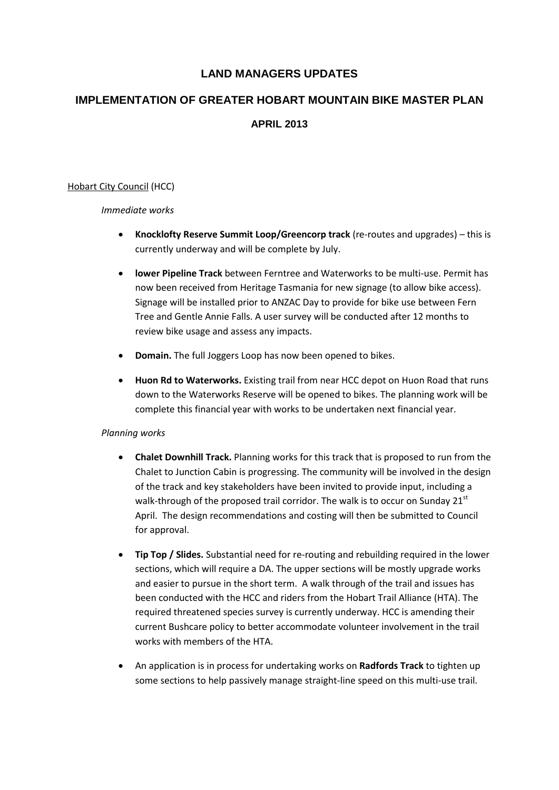# **LAND MANAGERS UPDATES**

# **IMPLEMENTATION OF GREATER HOBART MOUNTAIN BIKE MASTER PLAN**

# **APRIL 2013**

# Hobart City Council (HCC)

# *Immediate works*

- **Knocklofty Reserve Summit Loop/Greencorp track** (re-routes and upgrades) this is currently underway and will be complete by July.
- **lower Pipeline Track** between Ferntree and Waterworks to be multi-use. Permit has now been received from Heritage Tasmania for new signage (to allow bike access). Signage will be installed prior to ANZAC Day to provide for bike use between Fern Tree and Gentle Annie Falls. A user survey will be conducted after 12 months to review bike usage and assess any impacts.
- **Domain.** The full Joggers Loop has now been opened to bikes.
- **Huon Rd to Waterworks.** Existing trail from near HCC depot on Huon Road that runs down to the Waterworks Reserve will be opened to bikes. The planning work will be complete this financial year with works to be undertaken next financial year.

# *Planning works*

- **Chalet Downhill Track.** Planning works for this track that is proposed to run from the Chalet to Junction Cabin is progressing. The community will be involved in the design of the track and key stakeholders have been invited to provide input, including a walk-through of the proposed trail corridor. The walk is to occur on Sunday  $21<sup>st</sup>$ April. The design recommendations and costing will then be submitted to Council for approval.
- **Tip Top / Slides.** Substantial need for re-routing and rebuilding required in the lower sections, which will require a DA. The upper sections will be mostly upgrade works and easier to pursue in the short term. A walk through of the trail and issues has been conducted with the HCC and riders from the Hobart Trail Alliance (HTA). The required threatened species survey is currently underway. HCC is amending their current Bushcare policy to better accommodate volunteer involvement in the trail works with members of the HTA.
- An application is in process for undertaking works on **Radfords Track** to tighten up some sections to help passively manage straight-line speed on this multi-use trail.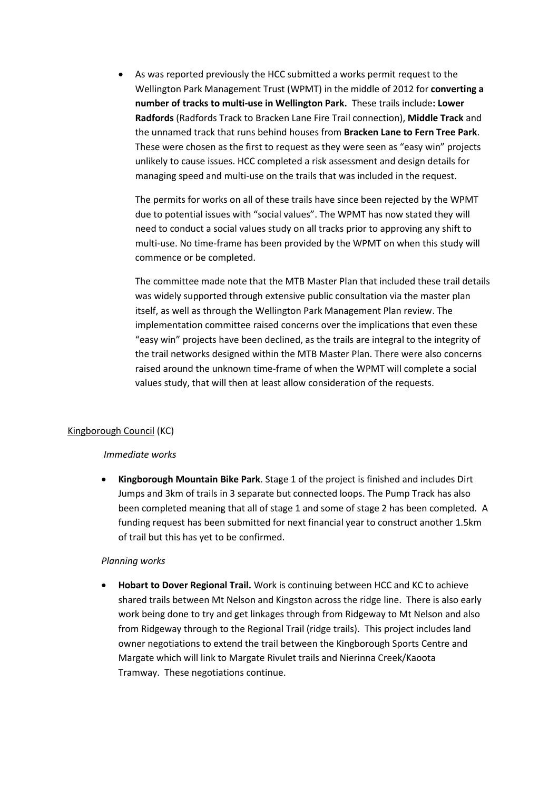As was reported previously the HCC submitted a works permit request to the Wellington Park Management Trust (WPMT) in the middle of 2012 for **converting a number of tracks to multi-use in Wellington Park.** These trails include**: Lower Radfords** (Radfords Track to Bracken Lane Fire Trail connection), **Middle Track** and the unnamed track that runs behind houses from **Bracken Lane to Fern Tree Park**. These were chosen as the first to request as they were seen as "easy win" projects unlikely to cause issues. HCC completed a risk assessment and design details for managing speed and multi-use on the trails that was included in the request.

The permits for works on all of these trails have since been rejected by the WPMT due to potential issues with "social values". The WPMT has now stated they will need to conduct a social values study on all tracks prior to approving any shift to multi-use. No time-frame has been provided by the WPMT on when this study will commence or be completed.

The committee made note that the MTB Master Plan that included these trail details was widely supported through extensive public consultation via the master plan itself, as well as through the Wellington Park Management Plan review. The implementation committee raised concerns over the implications that even these "easy win" projects have been declined, as the trails are integral to the integrity of the trail networks designed within the MTB Master Plan. There were also concerns raised around the unknown time-frame of when the WPMT will complete a social values study, that will then at least allow consideration of the requests.

# Kingborough Council (KC)

# *Immediate works*

 **Kingborough Mountain Bike Park**. Stage 1 of the project is finished and includes Dirt Jumps and 3km of trails in 3 separate but connected loops. The Pump Track has also been completed meaning that all of stage 1 and some of stage 2 has been completed. A funding request has been submitted for next financial year to construct another 1.5km of trail but this has yet to be confirmed.

# *Planning works*

 **Hobart to Dover Regional Trail.** Work is continuing between HCC and KC to achieve shared trails between Mt Nelson and Kingston across the ridge line. There is also early work being done to try and get linkages through from Ridgeway to Mt Nelson and also from Ridgeway through to the Regional Trail (ridge trails). This project includes land owner negotiations to extend the trail between the Kingborough Sports Centre and Margate which will link to Margate Rivulet trails and Nierinna Creek/Kaoota Tramway. These negotiations continue.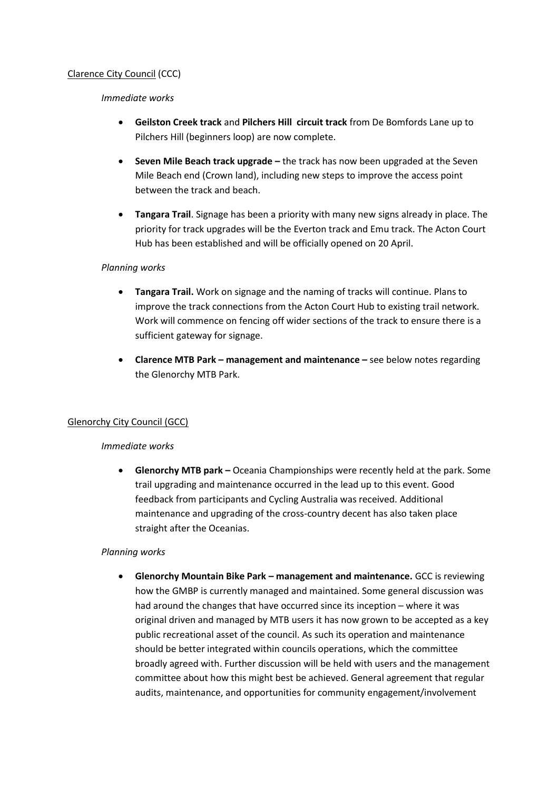# Clarence City Council (CCC)

*Immediate works*

- **Geilston Creek track** and **Pilchers Hill circuit track** from De Bomfords Lane up to Pilchers Hill (beginners loop) are now complete.
- **Seven Mile Beach track upgrade –** the track has now been upgraded at the Seven Mile Beach end (Crown land), including new steps to improve the access point between the track and beach.
- **Tangara Trail**. Signage has been a priority with many new signs already in place. The priority for track upgrades will be the Everton track and Emu track. The Acton Court Hub has been established and will be officially opened on 20 April.

# *Planning works*

- **Tangara Trail.** Work on signage and the naming of tracks will continue. Plans to improve the track connections from the Acton Court Hub to existing trail network. Work will commence on fencing off wider sections of the track to ensure there is a sufficient gateway for signage.
- **Clarence MTB Park – management and maintenance –** see below notes regarding the Glenorchy MTB Park.

# Glenorchy City Council (GCC)

# *Immediate works*

 **Glenorchy MTB park –** Oceania Championships were recently held at the park. Some trail upgrading and maintenance occurred in the lead up to this event. Good feedback from participants and Cycling Australia was received. Additional maintenance and upgrading of the cross-country decent has also taken place straight after the Oceanias.

# *Planning works*

 **Glenorchy Mountain Bike Park – management and maintenance.** GCC is reviewing how the GMBP is currently managed and maintained. Some general discussion was had around the changes that have occurred since its inception – where it was original driven and managed by MTB users it has now grown to be accepted as a key public recreational asset of the council. As such its operation and maintenance should be better integrated within councils operations, which the committee broadly agreed with. Further discussion will be held with users and the management committee about how this might best be achieved. General agreement that regular audits, maintenance, and opportunities for community engagement/involvement